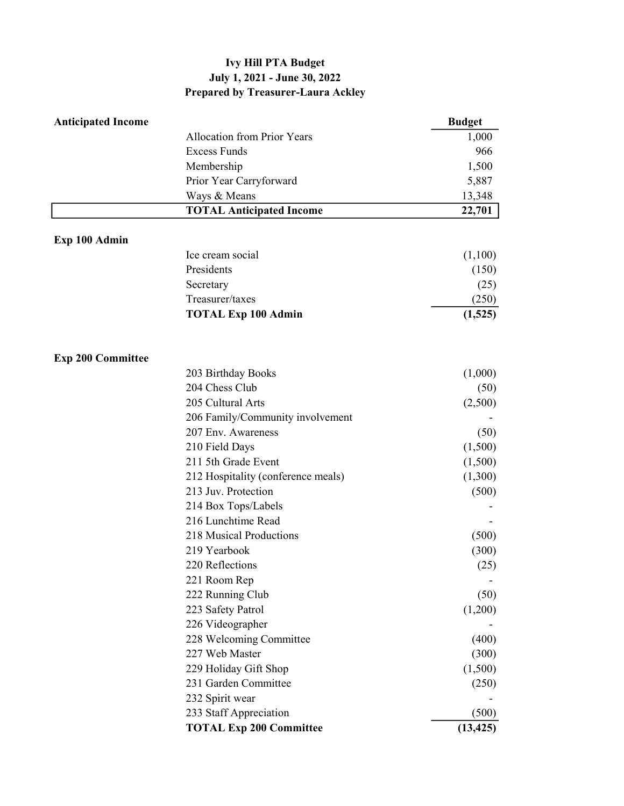## Ivy Hill PTA Budget July 1, 2021 - June 30, 2022 Prepared by Treasurer-Laura Ackley

| <b>Anticipated Income</b> |                                    | <b>Budget</b> |
|---------------------------|------------------------------------|---------------|
|                           | <b>Allocation from Prior Years</b> | 1,000         |
|                           | <b>Excess Funds</b>                | 966           |
|                           | Membership                         | 1,500         |
|                           | Prior Year Carryforward            | 5,887         |
|                           | Ways & Means                       | 13,348        |
|                           | <b>TOTAL Anticipated Income</b>    | 22,701        |
| Exp 100 Admin             |                                    |               |
|                           | Ice cream social                   | (1,100)       |
|                           | Presidents                         | (150)         |
|                           | Secretary                          | (25)          |
|                           | Treasurer/taxes                    | (250)         |
|                           | <b>TOTAL Exp 100 Admin</b>         | (1,525)       |
| <b>Exp 200 Committee</b>  |                                    |               |
|                           | 203 Birthday Books                 | (1,000)       |
|                           | 204 Chess Club                     | (50)          |
|                           | 205 Cultural Arts                  | (2,500)       |
|                           | 206 Family/Community involvement   |               |
|                           | 207 Env. Awareness                 | (50)          |
|                           | 210 Field Days                     | (1,500)       |
|                           | 211 5th Grade Event                | (1,500)       |
|                           | 212 Hospitality (conference meals) | (1,300)       |
|                           | 213 Juv. Protection                | (500)         |
|                           | 214 Box Tops/Labels                |               |
|                           | 216 Lunchtime Read                 |               |
|                           | 218 Musical Productions            | (500)         |
|                           | 219 Yearbook                       | (300)         |
|                           | 220 Reflections                    | (25)          |
|                           | 221 Room Rep                       |               |
|                           | 222 Running Club                   | (50)          |
|                           | 223 Safety Patrol                  | (1,200)       |
|                           | 226 Videographer                   |               |
|                           | 228 Welcoming Committee            | (400)         |
|                           | 227 Web Master                     | (300)         |
|                           | 229 Holiday Gift Shop              | (1,500)       |
|                           | 231 Garden Committee               | (250)         |
|                           | 232 Spirit wear                    |               |
|                           | 233 Staff Appreciation             | (500)         |
|                           | <b>TOTAL Exp 200 Committee</b>     | (13, 425)     |